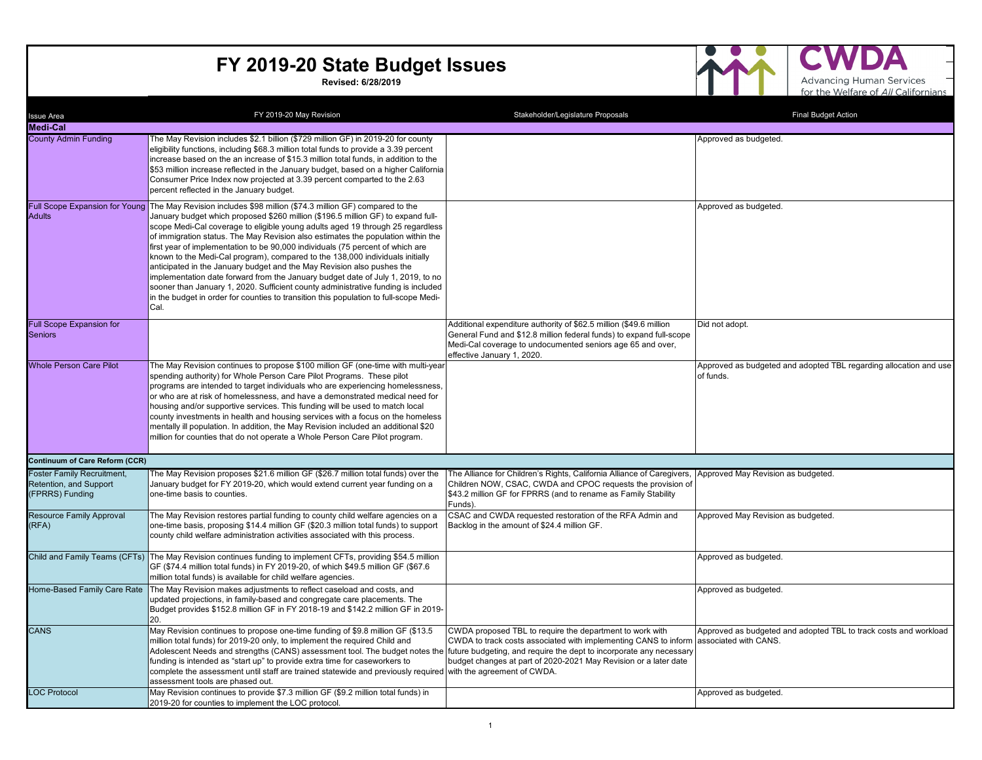**Revised: 6/28/2019**



 $\mathbf{\Delta}$ 

| <b>Issue Area</b>                                                       | FY 2019-20 May Revision                                                                                                                                                                                                                                                                                                                                                                                                                                                                                                                                                                                                                                                                                                                                                                                                                                                                   | Stakeholder/Legislature Proposals                                                                                                                                                                                                                                                            | <b>Final Budget Action</b>                                                     |
|-------------------------------------------------------------------------|-------------------------------------------------------------------------------------------------------------------------------------------------------------------------------------------------------------------------------------------------------------------------------------------------------------------------------------------------------------------------------------------------------------------------------------------------------------------------------------------------------------------------------------------------------------------------------------------------------------------------------------------------------------------------------------------------------------------------------------------------------------------------------------------------------------------------------------------------------------------------------------------|----------------------------------------------------------------------------------------------------------------------------------------------------------------------------------------------------------------------------------------------------------------------------------------------|--------------------------------------------------------------------------------|
| <b>Medi-Cal</b>                                                         |                                                                                                                                                                                                                                                                                                                                                                                                                                                                                                                                                                                                                                                                                                                                                                                                                                                                                           |                                                                                                                                                                                                                                                                                              |                                                                                |
| <b>County Admin Funding</b>                                             | The May Revision includes \$2.1 billion (\$729 million GF) in 2019-20 for county<br>eligibility functions, including \$68.3 million total funds to provide a 3.39 percent<br>increase based on the an increase of \$15.3 million total funds, in addition to the<br>\$53 million increase reflected in the January budget, based on a higher California<br>Consumer Price Index now projected at 3.39 percent comparted to the 2.63<br>percent reflected in the January budget.                                                                                                                                                                                                                                                                                                                                                                                                           |                                                                                                                                                                                                                                                                                              | Approved as budgeted.                                                          |
| <b>Adults</b>                                                           | Full Scope Expansion for Young The May Revision includes \$98 million (\$74.3 million GF) compared to the<br>January budget which proposed \$260 million (\$196.5 million GF) to expand full-<br>scope Medi-Cal coverage to eligible young adults aged 19 through 25 regardless<br>of immigration status. The May Revision also estimates the population within the<br>first year of implementation to be 90,000 individuals (75 percent of which are<br>known to the Medi-Cal program), compared to the 138,000 individuals initially<br>anticipated in the January budget and the May Revision also pushes the<br>implementation date forward from the January budget date of July 1, 2019, to no<br>sooner than January 1, 2020. Sufficient county administrative funding is included<br>in the budget in order for counties to transition this population to full-scope Medi-<br>Cal. |                                                                                                                                                                                                                                                                                              | Approved as budgeted.                                                          |
| <b>Full Scope Expansion for</b><br><b>Seniors</b>                       |                                                                                                                                                                                                                                                                                                                                                                                                                                                                                                                                                                                                                                                                                                                                                                                                                                                                                           | Additional expenditure authority of \$62.5 million (\$49.6 million<br>General Fund and \$12.8 million federal funds) to expand full-scope<br>Medi-Cal coverage to undocumented seniors age 65 and over,<br>effective January 1, 2020.                                                        | Did not adopt.                                                                 |
| <b>Whole Person Care Pilot</b>                                          | The May Revision continues to propose \$100 million GF (one-time with multi-year<br>spending authority) for Whole Person Care Pilot Programs. These pilot<br>programs are intended to target individuals who are experiencing homelessness,<br>or who are at risk of homelessness, and have a demonstrated medical need for<br>housing and/or supportive services. This funding will be used to match local<br>county investments in health and housing services with a focus on the homeless<br>mentally ill population. In addition, the May Revision included an additional \$20<br>million for counties that do not operate a Whole Person Care Pilot program.                                                                                                                                                                                                                        |                                                                                                                                                                                                                                                                                              | Approved as budgeted and adopted TBL regarding allocation and use<br>of funds. |
| <b>Continuum of Care Reform (CCR)</b>                                   |                                                                                                                                                                                                                                                                                                                                                                                                                                                                                                                                                                                                                                                                                                                                                                                                                                                                                           |                                                                                                                                                                                                                                                                                              |                                                                                |
| Foster Family Recruitment,<br>Retention, and Support<br>(FPRRS) Funding | The May Revision proposes \$21.6 million GF (\$26.7 million total funds) over the<br>January budget for FY 2019-20, which would extend current year funding on a<br>one-time basis to counties.                                                                                                                                                                                                                                                                                                                                                                                                                                                                                                                                                                                                                                                                                           | The Alliance for Children's Rights, California Alliance of Caregivers, Approved May Revision as budgeted.<br>Children NOW, CSAC, CWDA and CPOC requests the provision of<br>\$43.2 million GF for FPRRS (and to rename as Family Stability<br>Funds).                                        |                                                                                |
| <b>Resource Family Approval</b><br>(RFA)                                | The May Revision restores partial funding to county child welfare agencies on a<br>one-time basis, proposing \$14.4 million GF (\$20.3 million total funds) to support<br>county child welfare administration activities associated with this process.                                                                                                                                                                                                                                                                                                                                                                                                                                                                                                                                                                                                                                    | CSAC and CWDA requested restoration of the RFA Admin and<br>Backlog in the amount of \$24.4 million GF.                                                                                                                                                                                      | Approved May Revision as budgeted.                                             |
|                                                                         | Child and Family Teams (CFTs) The May Revision continues funding to implement CFTs, providing \$54.5 million<br>GF (\$74.4 million total funds) in FY 2019-20, of which \$49.5 million GF (\$67.6<br>million total funds) is available for child welfare agencies.                                                                                                                                                                                                                                                                                                                                                                                                                                                                                                                                                                                                                        |                                                                                                                                                                                                                                                                                              | Approved as budgeted.                                                          |
|                                                                         | Home-Based Family Care Rate The May Revision makes adjustments to reflect caseload and costs, and<br>updated projections, in family-based and congregate care placements. The<br>Budget provides \$152.8 million GF in FY 2018-19 and \$142.2 million GF in 2019-<br>20.                                                                                                                                                                                                                                                                                                                                                                                                                                                                                                                                                                                                                  |                                                                                                                                                                                                                                                                                              | Approved as budgeted.                                                          |
| <b>CANS</b>                                                             | May Revision continues to propose one-time funding of \$9.8 million GF (\$13.5)<br>million total funds) for 2019-20 only, to implement the required Child and<br>Adolescent Needs and strengths (CANS) assessment tool. The budget notes th<br>funding is intended as "start up" to provide extra time for caseworkers to<br>complete the assessment until staff are trained statewide and previously required with the agreement of CWDA.<br>assessment tools are phased out.                                                                                                                                                                                                                                                                                                                                                                                                            | CWDA proposed TBL to require the department to work with<br>CWDA to track costs associated with implementing CANS to inform associated with CANS.<br>future budgeting, and require the dept to incorporate any necessary<br>budget changes at part of 2020-2021 May Revision or a later date | Approved as budgeted and adopted TBL to track costs and workload               |
| <b>LOC Protocol</b>                                                     | May Revision continues to provide \$7.3 million GF (\$9.2 million total funds) in<br>2019-20 for counties to implement the LOC protocol.                                                                                                                                                                                                                                                                                                                                                                                                                                                                                                                                                                                                                                                                                                                                                  |                                                                                                                                                                                                                                                                                              | Approved as budgeted.                                                          |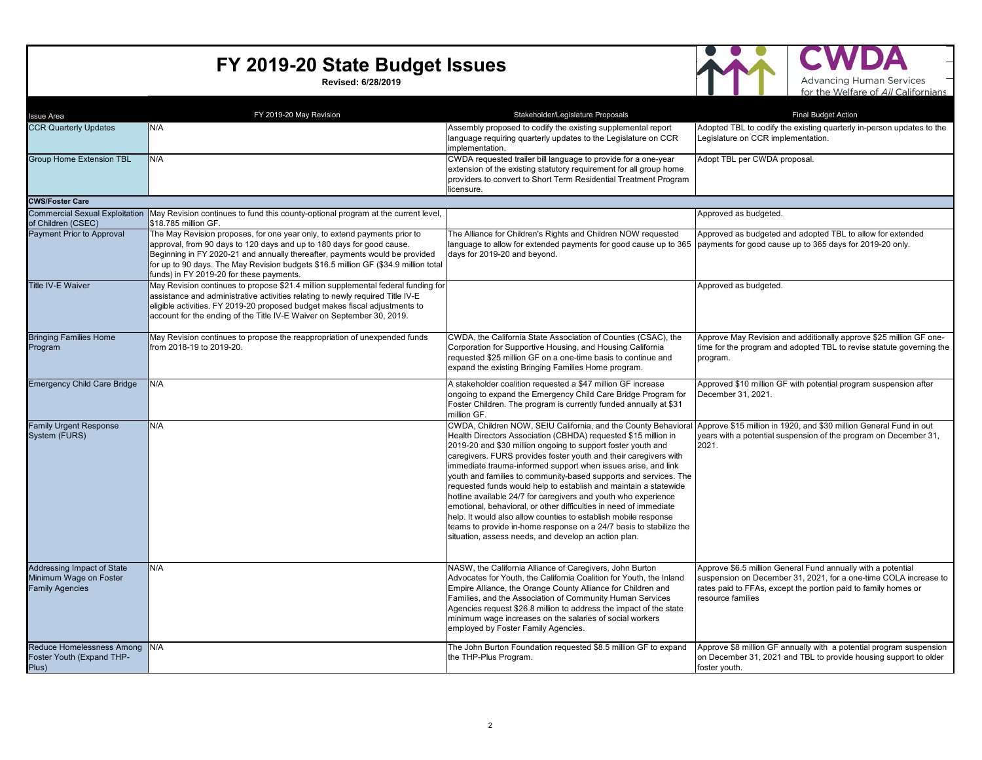**Revised: 6/28/2019**



Д

| Issue Area                                                                     | FY 2019-20 May Revision                                                                                                                                                                                                                                                                                                                                              | Stakeholder/Legislature Proposals                                                                                                                                                                                                                                                                                                                                                                                                                                                                                                                                                                                                                                                                                                                                                                                     | <b>Final Budget Action</b>                                                                                                                                                                                              |
|--------------------------------------------------------------------------------|----------------------------------------------------------------------------------------------------------------------------------------------------------------------------------------------------------------------------------------------------------------------------------------------------------------------------------------------------------------------|-----------------------------------------------------------------------------------------------------------------------------------------------------------------------------------------------------------------------------------------------------------------------------------------------------------------------------------------------------------------------------------------------------------------------------------------------------------------------------------------------------------------------------------------------------------------------------------------------------------------------------------------------------------------------------------------------------------------------------------------------------------------------------------------------------------------------|-------------------------------------------------------------------------------------------------------------------------------------------------------------------------------------------------------------------------|
| <b>CCR Quarterly Updates</b>                                                   | N/A                                                                                                                                                                                                                                                                                                                                                                  | Assembly proposed to codify the existing supplemental report<br>language requiring quarterly updates to the Legislature on CCR<br>implementation.                                                                                                                                                                                                                                                                                                                                                                                                                                                                                                                                                                                                                                                                     | Adopted TBL to codify the existing quarterly in-person updates to the<br>egislature on CCR implementation.                                                                                                              |
| <b>Group Home Extension TBL</b>                                                | N/A                                                                                                                                                                                                                                                                                                                                                                  | CWDA requested trailer bill language to provide for a one-year<br>extension of the existing statutory requirement for all group home<br>providers to convert to Short Term Residential Treatment Program<br>licensure.                                                                                                                                                                                                                                                                                                                                                                                                                                                                                                                                                                                                | Adopt TBL per CWDA proposal.                                                                                                                                                                                            |
| <b>CWS/Foster Care</b>                                                         |                                                                                                                                                                                                                                                                                                                                                                      |                                                                                                                                                                                                                                                                                                                                                                                                                                                                                                                                                                                                                                                                                                                                                                                                                       |                                                                                                                                                                                                                         |
| <b>Commercial Sexual Exploitation</b><br>of Children (CSEC)                    | May Revision continues to fund this county-optional program at the current level,<br>\$18.785 million GF.                                                                                                                                                                                                                                                            |                                                                                                                                                                                                                                                                                                                                                                                                                                                                                                                                                                                                                                                                                                                                                                                                                       | Approved as budgeted.                                                                                                                                                                                                   |
| Payment Prior to Approval                                                      | The May Revision proposes, for one year only, to extend payments prior to<br>approval, from 90 days to 120 days and up to 180 days for good cause.<br>Beginning in FY 2020-21 and annually thereafter, payments would be provided<br>for up to 90 days. The May Revision budgets \$16.5 million GF (\$34.9 million total<br>funds) in FY 2019-20 for these payments. | The Alliance for Children's Rights and Children NOW requested<br>language to allow for extended payments for good cause up to 365<br>days for 2019-20 and beyond.                                                                                                                                                                                                                                                                                                                                                                                                                                                                                                                                                                                                                                                     | Approved as budgeted and adopted TBL to allow for extended<br>payments for good cause up to 365 days for 2019-20 only.                                                                                                  |
| <b>Title IV-E Waiver</b>                                                       | May Revision continues to propose \$21.4 million supplemental federal funding for<br>assistance and administrative activities relating to newly required Title IV-E<br>eligible activities. FY 2019-20 proposed budget makes fiscal adjustments to<br>account for the ending of the Title IV-E Waiver on September 30, 2019.                                         |                                                                                                                                                                                                                                                                                                                                                                                                                                                                                                                                                                                                                                                                                                                                                                                                                       | Approved as budgeted.                                                                                                                                                                                                   |
| <b>Bringing Families Home</b><br>Program                                       | May Revision continues to propose the reappropriation of unexpended funds<br>from 2018-19 to 2019-20.                                                                                                                                                                                                                                                                | CWDA, the California State Association of Counties (CSAC), the<br>Corporation for Supportive Housing, and Housing California<br>requested \$25 million GF on a one-time basis to continue and<br>expand the existing Bringing Families Home program.                                                                                                                                                                                                                                                                                                                                                                                                                                                                                                                                                                  | Approve May Revision and additionally approve \$25 million GF one-<br>time for the program and adopted TBL to revise statute governing the<br>program.                                                                  |
| <b>Emergency Child Care Bridge</b>                                             | N/A                                                                                                                                                                                                                                                                                                                                                                  | A stakeholder coalition requested a \$47 million GF increase<br>ongoing to expand the Emergency Child Care Bridge Program for<br>Foster Children. The program is currently funded annually at \$31<br>million GF.                                                                                                                                                                                                                                                                                                                                                                                                                                                                                                                                                                                                     | Approved \$10 million GF with potential program suspension after<br>December 31, 2021.                                                                                                                                  |
| <b>Family Urgent Response</b><br>System (FURS)                                 | N/A                                                                                                                                                                                                                                                                                                                                                                  | CWDA, Children NOW, SEIU California, and the County Behavioral<br>Health Directors Association (CBHDA) requested \$15 million in<br>2019-20 and \$30 million ongoing to support foster youth and<br>caregivers. FURS provides foster youth and their caregivers with<br>immediate trauma-informed support when issues arise, and link<br>youth and families to community-based supports and services. The<br>requested funds would help to establish and maintain a statewide<br>hotline available 24/7 for caregivers and youth who experience<br>emotional, behavioral, or other difficulties in need of immediate<br>help. It would also allow counties to establish mobile response<br>teams to provide in-home response on a 24/7 basis to stabilize the<br>situation, assess needs, and develop an action plan. | Approve \$15 million in 1920, and \$30 million General Fund in out<br>years with a potential suspension of the program on December 31,<br>2021.                                                                         |
| Addressing Impact of State<br>Minimum Wage on Foster<br><b>Family Agencies</b> | N/A                                                                                                                                                                                                                                                                                                                                                                  | NASW, the California Alliance of Caregivers, John Burton<br>Advocates for Youth, the California Coalition for Youth, the Inland<br>Empire Alliance, the Orange County Alliance for Children and<br>Families, and the Association of Community Human Services<br>Agencies request \$26.8 million to address the impact of the state<br>minimum wage increases on the salaries of social workers<br>employed by Foster Family Agencies.                                                                                                                                                                                                                                                                                                                                                                                 | Approve \$6.5 million General Fund annually with a potential<br>suspension on December 31, 2021, for a one-time COLA increase to<br>rates paid to FFAs, except the portion paid to family homes or<br>resource families |
| Reduce Homelessness Among N/A<br>Foster Youth (Expand THP-<br>Plus)            |                                                                                                                                                                                                                                                                                                                                                                      | The John Burton Foundation requested \$8.5 million GF to expand<br>the THP-Plus Program.                                                                                                                                                                                                                                                                                                                                                                                                                                                                                                                                                                                                                                                                                                                              | Approve \$8 million GF annually with a potential program suspension<br>on December 31, 2021 and TBL to provide housing support to older<br>foster youth.                                                                |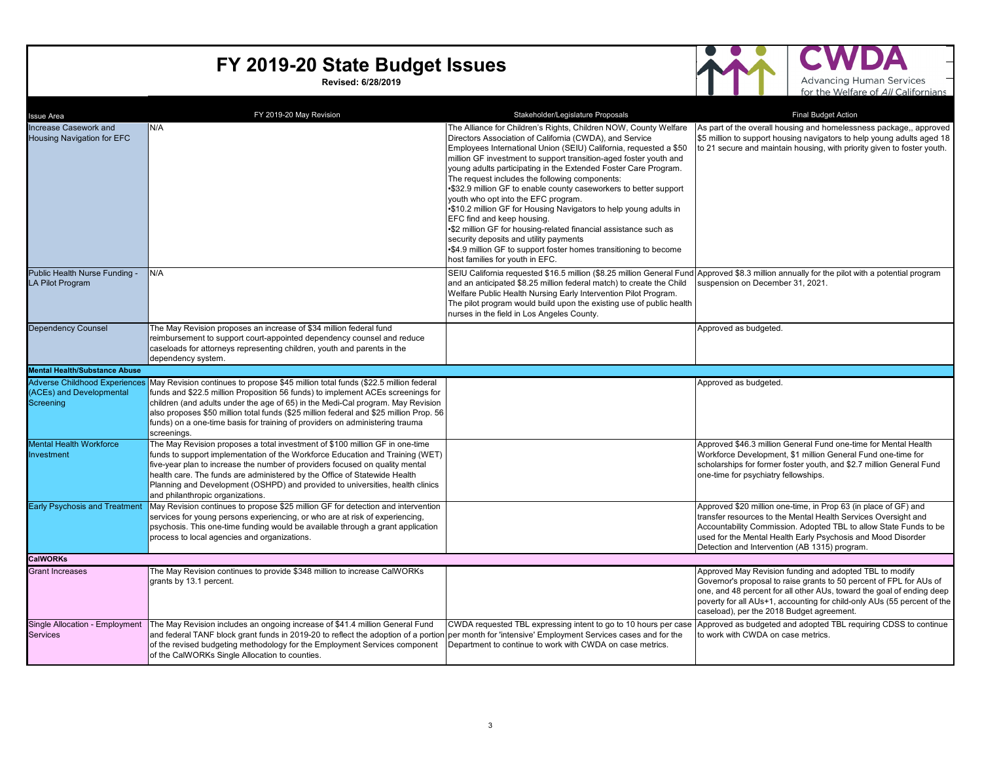**Revised: 6/28/2019**



А D Advancing Human Services –<br>for the Welfare of All Californians

| <b>Issue Area</b>                                          | FY 2019-20 May Revision                                                                                                                                                                                                                                                                                                                                                                                                                                                         | Stakeholder/Legislature Proposals                                                                                                                                                                                                                                                                                                                                                                                                                                                                                                                                                                                                                                                                                                                                                                                               | <b>Final Budget Action</b>                                                                                                                                                                                                                                                                                                      |
|------------------------------------------------------------|---------------------------------------------------------------------------------------------------------------------------------------------------------------------------------------------------------------------------------------------------------------------------------------------------------------------------------------------------------------------------------------------------------------------------------------------------------------------------------|---------------------------------------------------------------------------------------------------------------------------------------------------------------------------------------------------------------------------------------------------------------------------------------------------------------------------------------------------------------------------------------------------------------------------------------------------------------------------------------------------------------------------------------------------------------------------------------------------------------------------------------------------------------------------------------------------------------------------------------------------------------------------------------------------------------------------------|---------------------------------------------------------------------------------------------------------------------------------------------------------------------------------------------------------------------------------------------------------------------------------------------------------------------------------|
| Increase Casework and<br><b>Housing Navigation for EFC</b> | N/A                                                                                                                                                                                                                                                                                                                                                                                                                                                                             | The Alliance for Children's Rights, Children NOW, County Welfare<br>Directors Association of California (CWDA), and Service<br>Employees International Union (SEIU) California, requested a \$50<br>million GF investment to support transition-aged foster youth and<br>young adults participating in the Extended Foster Care Program.<br>The request includes the following components:<br>•\$32.9 million GF to enable county caseworkers to better support<br>youth who opt into the EFC program.<br>•\$10.2 million GF for Housing Navigators to help young adults in<br>EFC find and keep housing.<br>•\$2 million GF for housing-related financial assistance such as<br>security deposits and utility payments<br>•\$4.9 million GF to support foster homes transitioning to become<br>host families for youth in EFC. | As part of the overall housing and homelessness package,, approved<br>\$5 million to support housing navigators to help young adults aged 18<br>to 21 secure and maintain housing, with priority given to foster youth.                                                                                                         |
| Public Health Nurse Funding -<br>LA Pilot Program          | N/A                                                                                                                                                                                                                                                                                                                                                                                                                                                                             | and an anticipated \$8.25 million federal match) to create the Child<br>Welfare Public Health Nursing Early Intervention Pilot Program.<br>The pilot program would build upon the existing use of public health<br>nurses in the field in Los Angeles County.                                                                                                                                                                                                                                                                                                                                                                                                                                                                                                                                                                   | SEIU California requested \$16.5 million (\$8.25 million General Fund Approved \$8.3 million annually for the pilot with a potential program<br>suspension on December 31, 2021.                                                                                                                                                |
| <b>Dependency Counsel</b>                                  | The May Revision proposes an increase of \$34 million federal fund<br>reimbursement to support court-appointed dependency counsel and reduce<br>caseloads for attorneys representing children, youth and parents in the<br>dependency system.                                                                                                                                                                                                                                   |                                                                                                                                                                                                                                                                                                                                                                                                                                                                                                                                                                                                                                                                                                                                                                                                                                 | Approved as budgeted.                                                                                                                                                                                                                                                                                                           |
| <b>Mental Health/Substance Abuse</b>                       |                                                                                                                                                                                                                                                                                                                                                                                                                                                                                 |                                                                                                                                                                                                                                                                                                                                                                                                                                                                                                                                                                                                                                                                                                                                                                                                                                 |                                                                                                                                                                                                                                                                                                                                 |
| (ACEs) and Developmental<br>Screening                      | Adverse Childhood Experiences May Revision continues to propose \$45 million total funds (\$22.5 million federal<br>funds and \$22.5 million Proposition 56 funds) to implement ACEs screenings for<br>children (and adults under the age of 65) in the Medi-Cal program. May Revision<br>also proposes \$50 million total funds (\$25 million federal and \$25 million Prop. 56<br>funds) on a one-time basis for training of providers on administering trauma<br>screenings. |                                                                                                                                                                                                                                                                                                                                                                                                                                                                                                                                                                                                                                                                                                                                                                                                                                 | Approved as budgeted.                                                                                                                                                                                                                                                                                                           |
| <b>Mental Health Workforce</b><br>Investment               | The May Revision proposes a total investment of \$100 million GF in one-time<br>funds to support implementation of the Workforce Education and Training (WET)<br>five-year plan to increase the number of providers focused on quality mental<br>health care. The funds are administered by the Office of Statewide Health<br>Planning and Development (OSHPD) and provided to universities, health clinics<br>and philanthropic organizations.                                 |                                                                                                                                                                                                                                                                                                                                                                                                                                                                                                                                                                                                                                                                                                                                                                                                                                 | Approved \$46.3 million General Fund one-time for Mental Health<br>Workforce Development, \$1 million General Fund one-time for<br>scholarships for former foster youth, and \$2.7 million General Fund<br>one-time for psychiatry fellowships.                                                                                 |
| <b>Early Psychosis and Treatment</b>                       | May Revision continues to propose \$25 million GF for detection and intervention<br>services for young persons experiencing, or who are at risk of experiencing,<br>psychosis. This one-time funding would be available through a grant application<br>process to local agencies and organizations.                                                                                                                                                                             |                                                                                                                                                                                                                                                                                                                                                                                                                                                                                                                                                                                                                                                                                                                                                                                                                                 | Approved \$20 million one-time, in Prop 63 (in place of GF) and<br>transfer resources to the Mental Health Services Oversight and<br>Accountability Commission. Adopted TBL to allow State Funds to be<br>used for the Mental Health Early Psychosis and Mood Disorder<br>Detection and Intervention (AB 1315) program.         |
| <b>CalWORKs</b>                                            |                                                                                                                                                                                                                                                                                                                                                                                                                                                                                 |                                                                                                                                                                                                                                                                                                                                                                                                                                                                                                                                                                                                                                                                                                                                                                                                                                 |                                                                                                                                                                                                                                                                                                                                 |
| <b>Grant Increases</b>                                     | The May Revision continues to provide \$348 million to increase CalWORKs<br>grants by 13.1 percent.                                                                                                                                                                                                                                                                                                                                                                             |                                                                                                                                                                                                                                                                                                                                                                                                                                                                                                                                                                                                                                                                                                                                                                                                                                 | Approved May Revision funding and adopted TBL to modify<br>Governor's proposal to raise grants to 50 percent of FPL for AUs of<br>one, and 48 percent for all other AUs, toward the goal of ending deep<br>poverty for all AUs+1, accounting for child-only AUs (55 percent of the<br>caseload), per the 2018 Budget agreement. |
| Single Allocation - Employment<br><b>Services</b>          | The May Revision includes an ongoing increase of \$41.4 million General Fund<br>and federal TANF block grant funds in 2019-20 to reflect the adoption of a portion per month for 'intensive' Employment Services cases and for the<br>of the revised budgeting methodology for the Employment Services component<br>of the CalWORKs Single Allocation to counties.                                                                                                              | CWDA requested TBL expressing intent to go to 10 hours per case<br>Department to continue to work with CWDA on case metrics.                                                                                                                                                                                                                                                                                                                                                                                                                                                                                                                                                                                                                                                                                                    | Approved as budgeted and adopted TBL requiring CDSS to continue<br>to work with CWDA on case metrics.                                                                                                                                                                                                                           |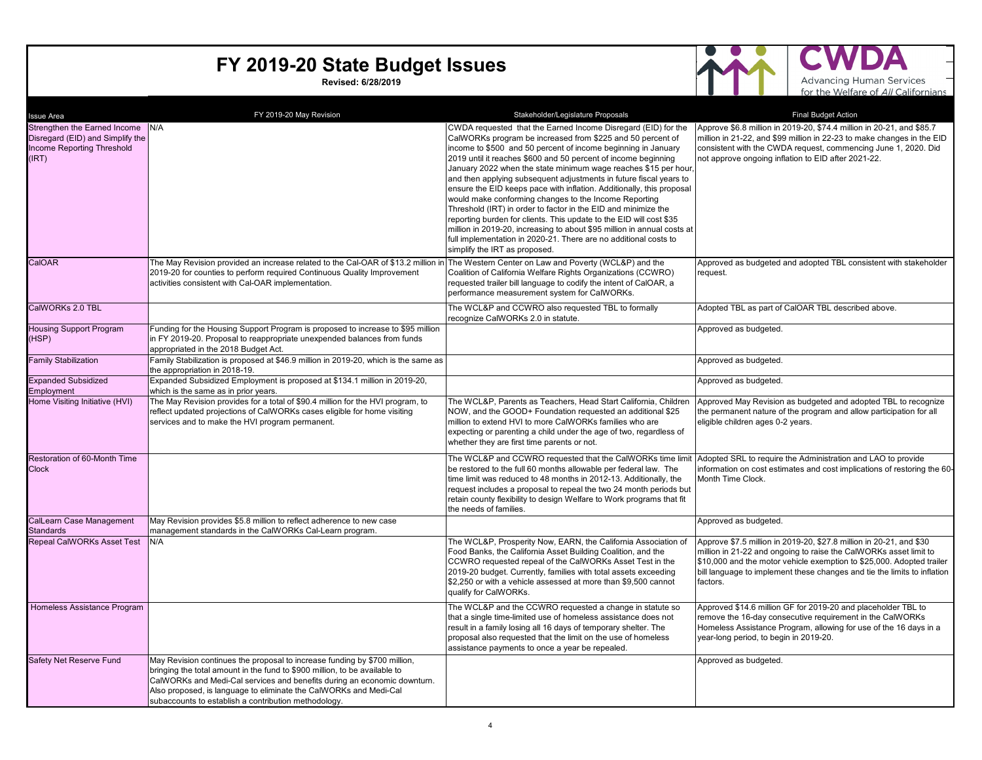**Revised: 6/28/2019**



A Advancing Human Services –<br>for the Welfare of All Californians

| <b>Issue Area</b>                                                                                           | FY 2019-20 May Revision                                                                                                                                                                                                                                                                                                                                          | Stakeholder/Legislature Proposals                                                                                                                                                                                                                                                                                                                                                                                                                                                                                                                                                                                                                                                                                                                                                                                                                                  | <b>Final Budget Action</b>                                                                                                                                                                                                                                                                                |
|-------------------------------------------------------------------------------------------------------------|------------------------------------------------------------------------------------------------------------------------------------------------------------------------------------------------------------------------------------------------------------------------------------------------------------------------------------------------------------------|--------------------------------------------------------------------------------------------------------------------------------------------------------------------------------------------------------------------------------------------------------------------------------------------------------------------------------------------------------------------------------------------------------------------------------------------------------------------------------------------------------------------------------------------------------------------------------------------------------------------------------------------------------------------------------------------------------------------------------------------------------------------------------------------------------------------------------------------------------------------|-----------------------------------------------------------------------------------------------------------------------------------------------------------------------------------------------------------------------------------------------------------------------------------------------------------|
| Strengthen the Earned Income N/A<br>Disregard (EID) and Simplify the<br>Income Reporting Threshold<br>(IRT) |                                                                                                                                                                                                                                                                                                                                                                  | CWDA requested that the Earned Income Disregard (EID) for the<br>CalWORKs program be increased from \$225 and 50 percent of<br>income to \$500 and 50 percent of income beginning in January<br>2019 until it reaches \$600 and 50 percent of income beginning<br>January 2022 when the state minimum wage reaches \$15 per hour,<br>and then applying subsequent adjustments in future fiscal years to<br>ensure the EID keeps pace with inflation. Additionally, this proposal<br>would make conforming changes to the Income Reporting<br>Threshold (IRT) in order to factor in the EID and minimize the<br>reporting burden for clients. This update to the EID will cost \$35<br>million in 2019-20, increasing to about \$95 million in annual costs at<br>full implementation in 2020-21. There are no additional costs to<br>simplify the IRT as proposed. | Approve \$6.8 million in 2019-20, \$74.4 million in 20-21, and \$85.7<br>million in 21-22, and \$99 million in 22-23 to make changes in the EID<br>consistent with the CWDA request, commencing June 1, 2020. Did<br>not approve ongoing inflation to EID after 2021-22.                                  |
| CalOAR                                                                                                      | The May Revision provided an increase related to the Cal-OAR of \$13.2 million in<br>2019-20 for counties to perform required Continuous Quality Improvement<br>activities consistent with Cal-OAR implementation.                                                                                                                                               | The Western Center on Law and Poverty (WCL&P) and the<br>Coalition of California Welfare Rights Organizations (CCWRO)<br>requested trailer bill language to codify the intent of CalOAR, a<br>performance measurement system for CalWORKs.                                                                                                                                                                                                                                                                                                                                                                                                                                                                                                                                                                                                                         | Approved as budgeted and adopted TBL consistent with stakeholder<br>request.                                                                                                                                                                                                                              |
| CalWORKs 2.0 TBL                                                                                            |                                                                                                                                                                                                                                                                                                                                                                  | The WCL&P and CCWRO also requested TBL to formally<br>recognize CalWORKs 2.0 in statute.                                                                                                                                                                                                                                                                                                                                                                                                                                                                                                                                                                                                                                                                                                                                                                           | Adopted TBL as part of CalOAR TBL described above.                                                                                                                                                                                                                                                        |
| <b>Housing Support Program</b><br>(HSP)                                                                     | Funding for the Housing Support Program is proposed to increase to \$95 million<br>in FY 2019-20. Proposal to reappropriate unexpended balances from funds<br>appropriated in the 2018 Budget Act.                                                                                                                                                               |                                                                                                                                                                                                                                                                                                                                                                                                                                                                                                                                                                                                                                                                                                                                                                                                                                                                    | Approved as budgeted.                                                                                                                                                                                                                                                                                     |
| <b>Family Stabilization</b>                                                                                 | Family Stabilization is proposed at \$46.9 million in 2019-20, which is the same as<br>the appropriation in 2018-19.                                                                                                                                                                                                                                             |                                                                                                                                                                                                                                                                                                                                                                                                                                                                                                                                                                                                                                                                                                                                                                                                                                                                    | Approved as budgeted.                                                                                                                                                                                                                                                                                     |
| <b>Expanded Subsidized</b><br>Employment                                                                    | Expanded Subsidized Employment is proposed at \$134.1 million in 2019-20,<br>which is the same as in prior years.                                                                                                                                                                                                                                                |                                                                                                                                                                                                                                                                                                                                                                                                                                                                                                                                                                                                                                                                                                                                                                                                                                                                    | Approved as budgeted.                                                                                                                                                                                                                                                                                     |
| Home Visiting Initiative (HVI)                                                                              | The May Revision provides for a total of \$90.4 million for the HVI program, to<br>reflect updated projections of CalWORKs cases eligible for home visiting<br>services and to make the HVI program permanent.                                                                                                                                                   | The WCL&P, Parents as Teachers, Head Start California, Children<br>NOW, and the GOOD+ Foundation requested an additional \$25<br>million to extend HVI to more CalWORKs families who are<br>expecting or parenting a child under the age of two, regardless of<br>whether they are first time parents or not.                                                                                                                                                                                                                                                                                                                                                                                                                                                                                                                                                      | Approved May Revision as budgeted and adopted TBL to recognize<br>the permanent nature of the program and allow participation for all<br>eligible children ages 0-2 years.                                                                                                                                |
| Restoration of 60-Month Time<br><b>Clock</b>                                                                |                                                                                                                                                                                                                                                                                                                                                                  | The WCL&P and CCWRO requested that the CalWORKs time limit Adopted SRL to require the Administration and LAO to provide<br>be restored to the full 60 months allowable per federal law. The<br>time limit was reduced to 48 months in 2012-13. Additionally, the<br>request includes a proposal to repeal the two 24 month periods but<br>retain county flexibility to design Welfare to Work programs that fit<br>the needs of families.                                                                                                                                                                                                                                                                                                                                                                                                                          | information on cost estimates and cost implications of restoring the 60-<br>Month Time Clock.                                                                                                                                                                                                             |
| CalLearn Case Management<br><b>Standards</b>                                                                | May Revision provides \$5.8 million to reflect adherence to new case<br>management standards in the CalWORKs Cal-Learn program.                                                                                                                                                                                                                                  |                                                                                                                                                                                                                                                                                                                                                                                                                                                                                                                                                                                                                                                                                                                                                                                                                                                                    | Approved as budgeted.                                                                                                                                                                                                                                                                                     |
| <b>Repeal CalWORKs Asset Test</b>                                                                           | N/A                                                                                                                                                                                                                                                                                                                                                              | The WCL&P, Prosperity Now, EARN, the California Association of<br>Food Banks, the California Asset Building Coalition, and the<br>CCWRO requested repeal of the CalWORKs Asset Test in the<br>2019-20 budget. Currently, families with total assets exceeding<br>\$2,250 or with a vehicle assessed at more than \$9,500 cannot<br>qualify for CalWORKs.                                                                                                                                                                                                                                                                                                                                                                                                                                                                                                           | Approve \$7.5 million in 2019-20, \$27.8 million in 20-21, and \$30<br>million in 21-22 and ongoing to raise the CalWORKs asset limit to<br>\$10,000 and the motor vehicle exemption to \$25,000. Adopted trailer<br>bill language to implement these changes and tie the limits to inflation<br>factors. |
| Homeless Assistance Program                                                                                 |                                                                                                                                                                                                                                                                                                                                                                  | The WCL&P and the CCWRO requested a change in statute so<br>that a single time-limited use of homeless assistance does not<br>result in a family losing all 16 days of temporary shelter. The<br>proposal also requested that the limit on the use of homeless<br>assistance payments to once a year be repealed.                                                                                                                                                                                                                                                                                                                                                                                                                                                                                                                                                  | Approved \$14.6 million GF for 2019-20 and placeholder TBL to<br>remove the 16-day consecutive requirement in the CalWORKs<br>Homeless Assistance Program, allowing for use of the 16 days in a<br>year-long period, to begin in 2019-20.                                                                 |
| Safety Net Reserve Fund                                                                                     | May Revision continues the proposal to increase funding by \$700 million,<br>bringing the total amount in the fund to \$900 million, to be available to<br>CalWORKs and Medi-Cal services and benefits during an economic downturn.<br>Also proposed, is language to eliminate the CalWORKs and Medi-Cal<br>subaccounts to establish a contribution methodology. |                                                                                                                                                                                                                                                                                                                                                                                                                                                                                                                                                                                                                                                                                                                                                                                                                                                                    | Approved as budgeted.                                                                                                                                                                                                                                                                                     |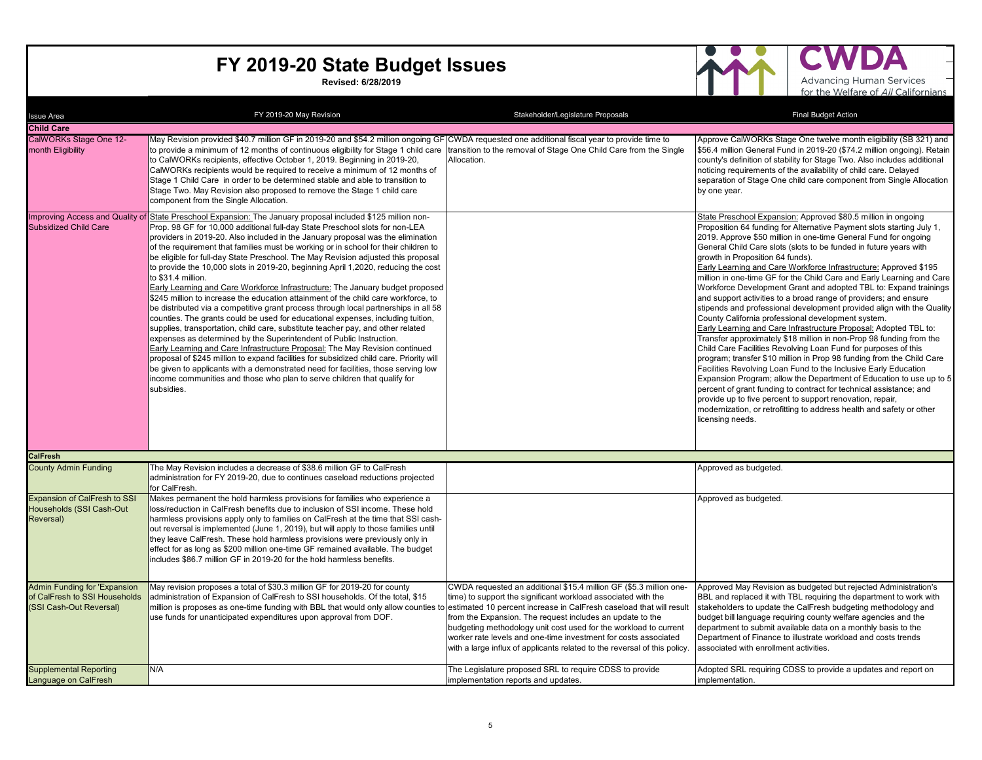**Revised: 6/28/2019**



 $\blacktriangle$ 

| Issue Area                                                                                      | FY 2019-20 May Revision                                                                                                                                                                                                                                                                                                                                                                                                                                                                                                                                                                                                                                                                                                                                                                                                                                                                                                                                                                                                                                                                                                                                                                                                                                                                                                                                                                                                                   | Stakeholder/Legislature Proposals                                                                                                                                                                                                                                                                                                                                                                                   | <b>Final Budget Action</b>                                                                                                                                                                                                                                                                                                                                                                                                                                                                                                                                                                                                                                                                                                                                                                                                                                                                                                                                                                                                                                                                                                                                                                                                                                                                                                                                                                           |
|-------------------------------------------------------------------------------------------------|-------------------------------------------------------------------------------------------------------------------------------------------------------------------------------------------------------------------------------------------------------------------------------------------------------------------------------------------------------------------------------------------------------------------------------------------------------------------------------------------------------------------------------------------------------------------------------------------------------------------------------------------------------------------------------------------------------------------------------------------------------------------------------------------------------------------------------------------------------------------------------------------------------------------------------------------------------------------------------------------------------------------------------------------------------------------------------------------------------------------------------------------------------------------------------------------------------------------------------------------------------------------------------------------------------------------------------------------------------------------------------------------------------------------------------------------|---------------------------------------------------------------------------------------------------------------------------------------------------------------------------------------------------------------------------------------------------------------------------------------------------------------------------------------------------------------------------------------------------------------------|------------------------------------------------------------------------------------------------------------------------------------------------------------------------------------------------------------------------------------------------------------------------------------------------------------------------------------------------------------------------------------------------------------------------------------------------------------------------------------------------------------------------------------------------------------------------------------------------------------------------------------------------------------------------------------------------------------------------------------------------------------------------------------------------------------------------------------------------------------------------------------------------------------------------------------------------------------------------------------------------------------------------------------------------------------------------------------------------------------------------------------------------------------------------------------------------------------------------------------------------------------------------------------------------------------------------------------------------------------------------------------------------------|
| <b>Child Care</b>                                                                               |                                                                                                                                                                                                                                                                                                                                                                                                                                                                                                                                                                                                                                                                                                                                                                                                                                                                                                                                                                                                                                                                                                                                                                                                                                                                                                                                                                                                                                           |                                                                                                                                                                                                                                                                                                                                                                                                                     |                                                                                                                                                                                                                                                                                                                                                                                                                                                                                                                                                                                                                                                                                                                                                                                                                                                                                                                                                                                                                                                                                                                                                                                                                                                                                                                                                                                                      |
| CalWORKs Stage One 12-<br>month Eligibility                                                     | May Revision provided \$40.7 million GF in 2019-20 and \$54.2 million ongoing GF CWDA requested one additional fiscal year to provide time to<br>to provide a minimum of 12 months of continuous eligibility for Stage 1 child care<br>to CalWORKs recipients, effective October 1, 2019. Beginning in 2019-20,<br>CalWORKs recipients would be required to receive a minimum of 12 months of<br>Stage 1 Child Care in order to be determined stable and able to transition to<br>Stage Two. May Revision also proposed to remove the Stage 1 child care<br>component from the Single Allocation.                                                                                                                                                                                                                                                                                                                                                                                                                                                                                                                                                                                                                                                                                                                                                                                                                                         | transition to the removal of Stage One Child Care from the Single<br>Allocation.                                                                                                                                                                                                                                                                                                                                    | Approve CalWORKs Stage One twelve month eligibility (SB 321) and<br>\$56.4 million General Fund in 2019-20 (\$74.2 million ongoing). Retain<br>county's definition of stability for Stage Two. Also includes additional<br>noticing requirements of the availability of child care. Delayed<br>separation of Stage One child care component from Single Allocation<br>by one year.                                                                                                                                                                                                                                                                                                                                                                                                                                                                                                                                                                                                                                                                                                                                                                                                                                                                                                                                                                                                                   |
| <b>Subsidized Child Care</b>                                                                    | Improving Access and Quality of State Preschool Expansion: The January proposal included \$125 million non-<br>Prop. 98 GF for 10,000 additional full-day State Preschool slots for non-LEA<br>providers in 2019-20. Also included in the January proposal was the elimination<br>of the requirement that families must be working or in school for their children to<br>be eligible for full-day State Preschool. The May Revision adjusted this proposal<br>to provide the 10,000 slots in 2019-20, beginning April 1,2020, reducing the cost<br>to \$31.4 million.<br>Early Learning and Care Workforce Infrastructure: The January budget proposed<br>\$245 million to increase the education attainment of the child care workforce, to<br>be distributed via a competitive grant process through local partnerships in all 58<br>counties. The grants could be used for educational expenses, including tuition,<br>supplies, transportation, child care, substitute teacher pay, and other related<br>expenses as determined by the Superintendent of Public Instruction.<br>Early Learning and Care Infrastructure Proposal: The May Revision continued<br>proposal of \$245 million to expand facilities for subsidized child care. Priority will<br>be given to applicants with a demonstrated need for facilities, those serving low<br>income communities and those who plan to serve children that qualify for<br>subsidies. |                                                                                                                                                                                                                                                                                                                                                                                                                     | State Preschool Expansion: Approved \$80.5 million in ongoing<br>Proposition 64 funding for Alternative Payment slots starting July 1,<br>2019. Approve \$50 million in one-time General Fund for ongoing<br>General Child Care slots (slots to be funded in future years with<br>growth in Proposition 64 funds).<br>Early Learning and Care Workforce Infrastructure: Approved \$195<br>million in one-time GF for the Child Care and Early Learning and Care<br>Workforce Development Grant and adopted TBL to: Expand trainings<br>and support activities to a broad range of providers; and ensure<br>stipends and professional development provided align with the Quality<br>County California professional development system.<br>Early Learning and Care Infrastructure Proposal: Adopted TBL to:<br>Transfer approximately \$18 million in non-Prop 98 funding from the<br>Child Care Facilities Revolving Loan Fund for purposes of this<br>program; transfer \$10 million in Prop 98 funding from the Child Care<br>Facilities Revolving Loan Fund to the Inclusive Early Education<br>Expansion Program; allow the Department of Education to use up to 5<br>percent of grant funding to contract for technical assistance; and<br>provide up to five percent to support renovation, repair,<br>modernization, or retrofitting to address health and safety or other<br>icensing needs. |
| CalFresh                                                                                        |                                                                                                                                                                                                                                                                                                                                                                                                                                                                                                                                                                                                                                                                                                                                                                                                                                                                                                                                                                                                                                                                                                                                                                                                                                                                                                                                                                                                                                           |                                                                                                                                                                                                                                                                                                                                                                                                                     |                                                                                                                                                                                                                                                                                                                                                                                                                                                                                                                                                                                                                                                                                                                                                                                                                                                                                                                                                                                                                                                                                                                                                                                                                                                                                                                                                                                                      |
| <b>County Admin Funding</b>                                                                     | The May Revision includes a decrease of \$38.6 million GF to CalFresh<br>administration for FY 2019-20, due to continues caseload reductions projected<br>for CalFresh.                                                                                                                                                                                                                                                                                                                                                                                                                                                                                                                                                                                                                                                                                                                                                                                                                                                                                                                                                                                                                                                                                                                                                                                                                                                                   |                                                                                                                                                                                                                                                                                                                                                                                                                     | Approved as budgeted.                                                                                                                                                                                                                                                                                                                                                                                                                                                                                                                                                                                                                                                                                                                                                                                                                                                                                                                                                                                                                                                                                                                                                                                                                                                                                                                                                                                |
| <b>Expansion of CalFresh to SSI</b><br>Households (SSI Cash-Out<br>Reversal)                    | Makes permanent the hold harmless provisions for families who experience a<br>loss/reduction in CalFresh benefits due to inclusion of SSI income. These hold<br>harmless provisions apply only to families on CalFresh at the time that SSI cash-<br>out reversal is implemented (June 1, 2019), but will apply to those families until<br>they leave CalFresh. These hold harmless provisions were previously only in<br>effect for as long as \$200 million one-time GF remained available. The budget<br>includes \$86.7 million GF in 2019-20 for the hold harmless benefits.                                                                                                                                                                                                                                                                                                                                                                                                                                                                                                                                                                                                                                                                                                                                                                                                                                                         |                                                                                                                                                                                                                                                                                                                                                                                                                     | Approved as budgeted.                                                                                                                                                                                                                                                                                                                                                                                                                                                                                                                                                                                                                                                                                                                                                                                                                                                                                                                                                                                                                                                                                                                                                                                                                                                                                                                                                                                |
| <b>Admin Funding for 'Expansion</b><br>of CalFresh to SSI Households<br>(SSI Cash-Out Reversal) | May revision proposes a total of \$30.3 million GF for 2019-20 for county<br>administration of Expansion of CalFresh to SSI households. Of the total, \$15<br>million is proposes as one-time funding with BBL that would only allow counties to estimated 10 percent increase in CalFresh caseload that will result<br>use funds for unanticipated expenditures upon approval from DOF.                                                                                                                                                                                                                                                                                                                                                                                                                                                                                                                                                                                                                                                                                                                                                                                                                                                                                                                                                                                                                                                  | CWDA requested an additional \$15.4 million GF (\$5.3 million one-<br>time) to support the significant workload associated with the<br>from the Expansion. The request includes an update to the<br>budgeting methodology unit cost used for the workload to current<br>worker rate levels and one-time investment for costs associated<br>with a large influx of applicants related to the reversal of this policy | Approved May Revision as budgeted but rejected Administration's<br>BBL and replaced it with TBL requiring the department to work with<br>stakeholders to update the CalFresh budgeting methodology and<br>budget bill language requiring county welfare agencies and the<br>department to submit available data on a monthly basis to the<br>Department of Finance to illustrate workload and costs trends<br>associated with enrollment activities.                                                                                                                                                                                                                                                                                                                                                                                                                                                                                                                                                                                                                                                                                                                                                                                                                                                                                                                                                 |
| <b>Supplemental Reporting</b><br>Language on CalFresh                                           | N/A                                                                                                                                                                                                                                                                                                                                                                                                                                                                                                                                                                                                                                                                                                                                                                                                                                                                                                                                                                                                                                                                                                                                                                                                                                                                                                                                                                                                                                       | The Legislature proposed SRL to require CDSS to provide<br>implementation reports and updates.                                                                                                                                                                                                                                                                                                                      | Adopted SRL requiring CDSS to provide a updates and report on<br>implementation.                                                                                                                                                                                                                                                                                                                                                                                                                                                                                                                                                                                                                                                                                                                                                                                                                                                                                                                                                                                                                                                                                                                                                                                                                                                                                                                     |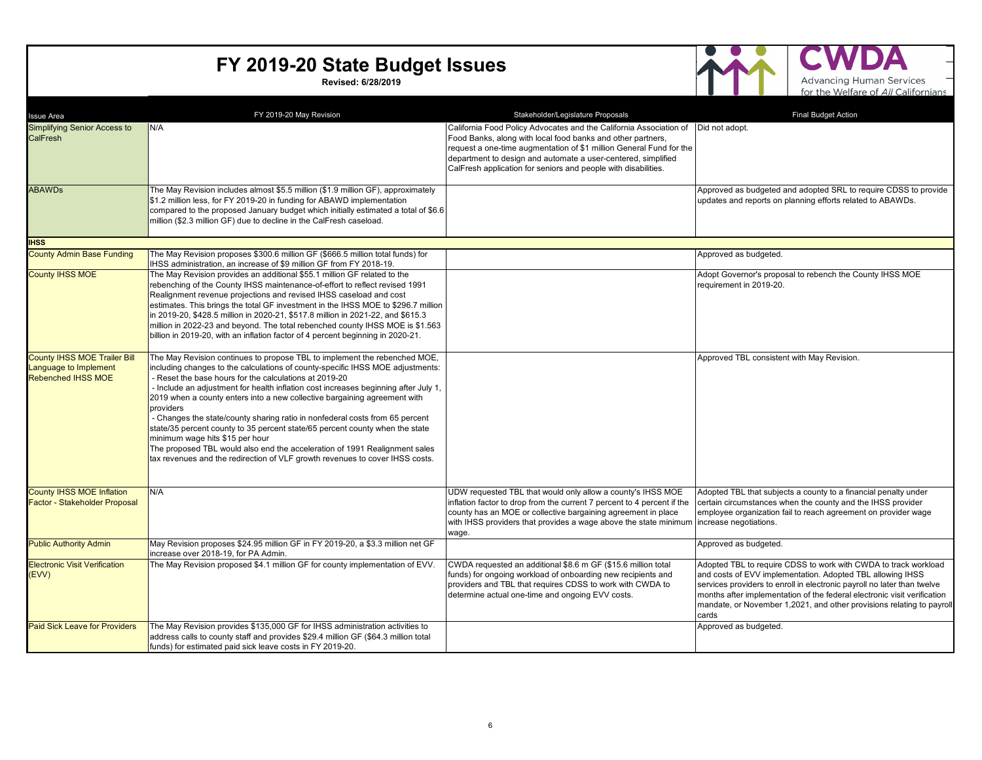**Revised: 6/28/2019**



A

| <b>Issue Area</b>                                                                         | FY 2019-20 May Revision                                                                                                                                                                                                                                                                                                                                                                                                                                                                                                                                                                                                                                                                                                                                                 | Stakeholder/Legislature Proposals                                                                                                                                                                                                                                                                                                                            | <b>Final Budget Action</b>                                                                                                                                                                                                                                                                                                                                             |
|-------------------------------------------------------------------------------------------|-------------------------------------------------------------------------------------------------------------------------------------------------------------------------------------------------------------------------------------------------------------------------------------------------------------------------------------------------------------------------------------------------------------------------------------------------------------------------------------------------------------------------------------------------------------------------------------------------------------------------------------------------------------------------------------------------------------------------------------------------------------------------|--------------------------------------------------------------------------------------------------------------------------------------------------------------------------------------------------------------------------------------------------------------------------------------------------------------------------------------------------------------|------------------------------------------------------------------------------------------------------------------------------------------------------------------------------------------------------------------------------------------------------------------------------------------------------------------------------------------------------------------------|
| <b>Simplifying Senior Access to</b><br><b>CalFresh</b>                                    | N/A                                                                                                                                                                                                                                                                                                                                                                                                                                                                                                                                                                                                                                                                                                                                                                     | California Food Policy Advocates and the California Association of   Did not adopt.<br>Food Banks, along with local food banks and other partners,<br>request a one-time augmentation of \$1 million General Fund for the<br>department to design and automate a user-centered, simplified<br>CalFresh application for seniors and people with disabilities. |                                                                                                                                                                                                                                                                                                                                                                        |
| <b>ABAWDs</b>                                                                             | The May Revision includes almost \$5.5 million (\$1.9 million GF), approximately<br>\$1.2 million less, for FY 2019-20 in funding for ABAWD implementation<br>compared to the proposed January budget which initially estimated a total of \$6.6<br>million (\$2.3 million GF) due to decline in the CalFresh caseload.                                                                                                                                                                                                                                                                                                                                                                                                                                                 |                                                                                                                                                                                                                                                                                                                                                              | Approved as budgeted and adopted SRL to require CDSS to provide<br>updates and reports on planning efforts related to ABAWDs.                                                                                                                                                                                                                                          |
| <b>IHSS</b>                                                                               |                                                                                                                                                                                                                                                                                                                                                                                                                                                                                                                                                                                                                                                                                                                                                                         |                                                                                                                                                                                                                                                                                                                                                              |                                                                                                                                                                                                                                                                                                                                                                        |
| <b>County Admin Base Funding</b>                                                          | The May Revision proposes \$300.6 million GF (\$666.5 million total funds) for<br>IHSS administration, an increase of \$9 million GF from FY 2018-19.                                                                                                                                                                                                                                                                                                                                                                                                                                                                                                                                                                                                                   |                                                                                                                                                                                                                                                                                                                                                              | Approved as budgeted.                                                                                                                                                                                                                                                                                                                                                  |
| <b>County IHSS MOE</b>                                                                    | The May Revision provides an additional \$55.1 million GF related to the<br>rebenching of the County IHSS maintenance-of-effort to reflect revised 1991<br>Realignment revenue projections and revised IHSS caseload and cost<br>estimates. This brings the total GF investment in the IHSS MOE to \$296.7 million<br>in 2019-20, \$428.5 million in 2020-21, \$517.8 million in 2021-22, and \$615.3<br>million in 2022-23 and beyond. The total rebenched county IHSS MOE is \$1.563<br>billion in 2019-20, with an inflation factor of 4 percent beginning in 2020-21.                                                                                                                                                                                               |                                                                                                                                                                                                                                                                                                                                                              | Adopt Governor's proposal to rebench the County IHSS MOE<br>requirement in 2019-20.                                                                                                                                                                                                                                                                                    |
| <b>County IHSS MOE Trailer Bill</b><br>Language to Implement<br><b>Rebenched IHSS MOE</b> | The May Revision continues to propose TBL to implement the rebenched MOE,<br>including changes to the calculations of county-specific IHSS MOE adjustments:<br>- Reset the base hours for the calculations at 2019-20<br>- Include an adjustment for health inflation cost increases beginning after July 1,<br>2019 when a county enters into a new collective bargaining agreement with<br>providers<br>- Changes the state/county sharing ratio in nonfederal costs from 65 percent<br>state/35 percent county to 35 percent state/65 percent county when the state<br>minimum wage hits \$15 per hour<br>The proposed TBL would also end the acceleration of 1991 Realignment sales<br>tax revenues and the redirection of VLF growth revenues to cover IHSS costs. |                                                                                                                                                                                                                                                                                                                                                              | Approved TBL consistent with May Revision.                                                                                                                                                                                                                                                                                                                             |
| <b>County IHSS MOE Inflation</b><br>Factor - Stakeholder Proposal                         | N/A                                                                                                                                                                                                                                                                                                                                                                                                                                                                                                                                                                                                                                                                                                                                                                     | UDW requested TBL that would only allow a county's IHSS MOE<br>inflation factor to drop from the current 7 percent to 4 percent if the<br>county has an MOE or collective bargaining agreement in place<br>with IHSS providers that provides a wage above the state minimum<br>wage.                                                                         | Adopted TBL that subjects a county to a financial penalty under<br>certain circumstances when the county and the IHSS provider<br>employee organization fail to reach agreement on provider wage<br>increase negotiations.                                                                                                                                             |
| <b>Public Authority Admin</b>                                                             | May Revision proposes \$24.95 million GF in FY 2019-20, a \$3.3 million net GF<br>increase over 2018-19, for PA Admin.                                                                                                                                                                                                                                                                                                                                                                                                                                                                                                                                                                                                                                                  |                                                                                                                                                                                                                                                                                                                                                              | Approved as budgeted.                                                                                                                                                                                                                                                                                                                                                  |
| <b>Electronic Visit Verification</b><br>(EVV)                                             | The May Revision proposed \$4.1 million GF for county implementation of EVV.                                                                                                                                                                                                                                                                                                                                                                                                                                                                                                                                                                                                                                                                                            | CWDA requested an additional \$8.6 m GF (\$15.6 million total<br>funds) for ongoing workload of onboarding new recipients and<br>providers and TBL that requires CDSS to work with CWDA to<br>determine actual one-time and ongoing EVV costs.                                                                                                               | Adopted TBL to require CDSS to work with CWDA to track workload<br>and costs of EVV implementation. Adopted TBL allowing IHSS<br>services providers to enroll in electronic payroll no later than twelve<br>months after implementation of the federal electronic visit verification<br>mandate, or November 1,2021, and other provisions relating to payroll<br>cards |
| <b>Paid Sick Leave for Providers</b>                                                      | The May Revision provides \$135,000 GF for IHSS administration activities to<br>address calls to county staff and provides \$29.4 million GF (\$64.3 million total<br>funds) for estimated paid sick leave costs in FY 2019-20.                                                                                                                                                                                                                                                                                                                                                                                                                                                                                                                                         |                                                                                                                                                                                                                                                                                                                                                              | Approved as budgeted.                                                                                                                                                                                                                                                                                                                                                  |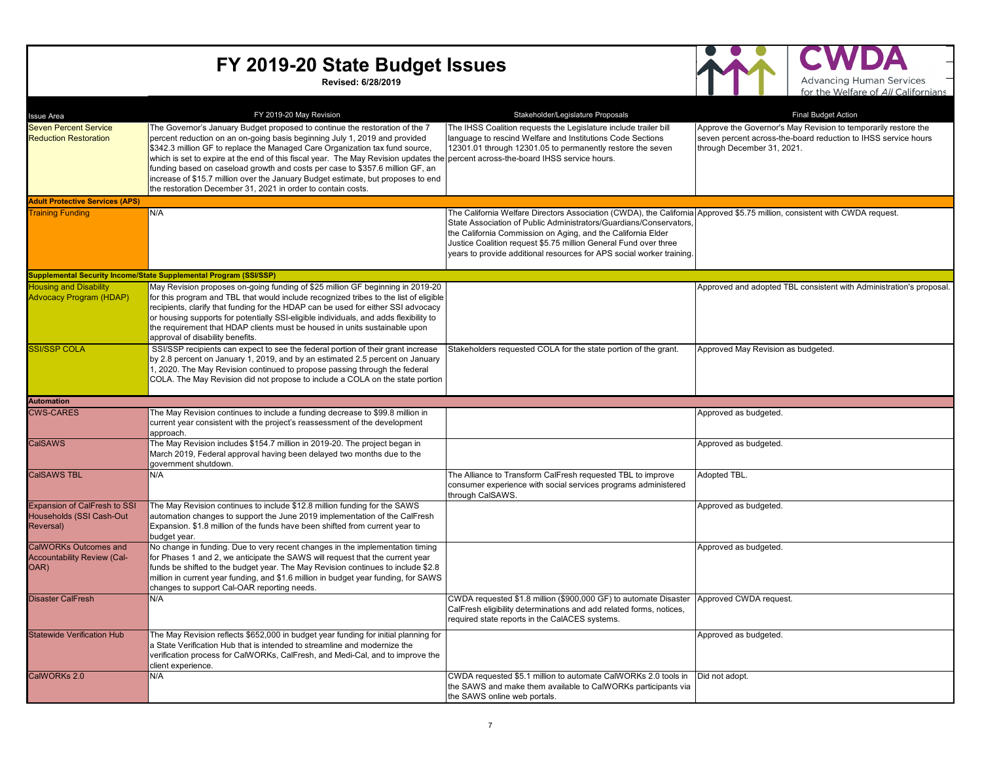**Revised: 6/28/2019**



Д

| <b>Issue Area</b>                                                            | FY 2019-20 May Revision                                                                                                                                                                                                                                                                                                                                                                                                                                                                                                                                                                                            | Stakeholder/Legislature Proposals                                                                                                                                                                                                                                                                                                                                                                             | <b>Final Budget Action</b>                                                                                                                                     |
|------------------------------------------------------------------------------|--------------------------------------------------------------------------------------------------------------------------------------------------------------------------------------------------------------------------------------------------------------------------------------------------------------------------------------------------------------------------------------------------------------------------------------------------------------------------------------------------------------------------------------------------------------------------------------------------------------------|---------------------------------------------------------------------------------------------------------------------------------------------------------------------------------------------------------------------------------------------------------------------------------------------------------------------------------------------------------------------------------------------------------------|----------------------------------------------------------------------------------------------------------------------------------------------------------------|
| <b>Seven Percent Service</b><br><b>Reduction Restoration</b>                 | The Governor's January Budget proposed to continue the restoration of the 7<br>percent reduction on an on-going basis beginning July 1, 2019 and provided<br>\$342.3 million GF to replace the Managed Care Organization tax fund source,<br>which is set to expire at the end of this fiscal year. The May Revision updates the percent across-the-board IHSS service hours.<br>funding based on caseload growth and costs per case to \$357.6 million GF, an<br>increase of \$15.7 million over the January Budget estimate, but proposes to end<br>the restoration December 31, 2021 in order to contain costs. | The IHSS Coalition requests the Legislature include trailer bill<br>language to rescind Welfare and Institutions Code Sections<br>12301.01 through 12301.05 to permanently restore the seven                                                                                                                                                                                                                  | Approve the Governor's May Revision to temporarily restore the<br>seven percent across-the-board reduction to IHSS service hours<br>through December 31, 2021. |
| <b>Adult Protective Services (APS)</b>                                       |                                                                                                                                                                                                                                                                                                                                                                                                                                                                                                                                                                                                                    |                                                                                                                                                                                                                                                                                                                                                                                                               |                                                                                                                                                                |
| <b>Training Funding</b>                                                      | N/A                                                                                                                                                                                                                                                                                                                                                                                                                                                                                                                                                                                                                | The California Welfare Directors Association (CWDA), the California Approved \$5.75 million, consistent with CWDA request.<br>State Association of Public Administrators/Guardians/Conservators,<br>the California Commission on Aging, and the California Elder<br>Justice Coalition request \$5.75 million General Fund over three<br>years to provide additional resources for APS social worker training. |                                                                                                                                                                |
|                                                                              | Supplemental Security Income/State Supplemental Program (SSI/SSP)                                                                                                                                                                                                                                                                                                                                                                                                                                                                                                                                                  |                                                                                                                                                                                                                                                                                                                                                                                                               |                                                                                                                                                                |
| <b>Housing and Disability</b><br><b>Advocacy Program (HDAP)</b>              | May Revision proposes on-going funding of \$25 million GF beginning in 2019-20<br>for this program and TBL that would include recognized tribes to the list of eligible<br>recipients, clarify that funding for the HDAP can be used for either SSI advocacy<br>or housing supports for potentially SSI-eligible individuals, and adds flexibility to<br>the requirement that HDAP clients must be housed in units sustainable upon<br>approval of disability benefits.                                                                                                                                            |                                                                                                                                                                                                                                                                                                                                                                                                               | Approved and adopted TBL consistent with Administration's proposal.                                                                                            |
| <b>SSI/SSP COLA</b>                                                          | SSI/SSP recipients can expect to see the federal portion of their grant increase<br>by 2.8 percent on January 1, 2019, and by an estimated 2.5 percent on January<br>1, 2020. The May Revision continued to propose passing through the federal<br>COLA. The May Revision did not propose to include a COLA on the state portion                                                                                                                                                                                                                                                                                   | Stakeholders requested COLA for the state portion of the grant.                                                                                                                                                                                                                                                                                                                                               | Approved May Revision as budgeted.                                                                                                                             |
| <b>Automation</b>                                                            |                                                                                                                                                                                                                                                                                                                                                                                                                                                                                                                                                                                                                    |                                                                                                                                                                                                                                                                                                                                                                                                               |                                                                                                                                                                |
| <b>CWS-CARES</b>                                                             | The May Revision continues to include a funding decrease to \$99.8 million in<br>current year consistent with the project's reassessment of the development<br>approach.                                                                                                                                                                                                                                                                                                                                                                                                                                           |                                                                                                                                                                                                                                                                                                                                                                                                               | Approved as budgeted.                                                                                                                                          |
| <b>CalSAWS</b>                                                               | The May Revision includes \$154.7 million in 2019-20. The project began in<br>March 2019, Federal approval having been delayed two months due to the<br>government shutdown.                                                                                                                                                                                                                                                                                                                                                                                                                                       |                                                                                                                                                                                                                                                                                                                                                                                                               | Approved as budgeted.                                                                                                                                          |
| <b>CaISAWS TBL</b>                                                           | N/A                                                                                                                                                                                                                                                                                                                                                                                                                                                                                                                                                                                                                | The Alliance to Transform CalFresh requested TBL to improve<br>consumer experience with social services programs administered<br>through CalSAWS.                                                                                                                                                                                                                                                             | Adopted TBL.                                                                                                                                                   |
| <b>Expansion of CalFresh to SSI</b><br>Households (SSI Cash-Out<br>Reversal) | The May Revision continues to include \$12.8 million funding for the SAWS<br>automation changes to support the June 2019 implementation of the CalFresh<br>Expansion. \$1.8 million of the funds have been shifted from current year to<br>budget year.                                                                                                                                                                                                                                                                                                                                                            |                                                                                                                                                                                                                                                                                                                                                                                                               | Approved as budgeted.                                                                                                                                          |
| <b>CalWORKs Outcomes and</b><br><b>Accountability Review (Cal-</b><br>OAR)   | No change in funding. Due to very recent changes in the implementation timing<br>for Phases 1 and 2, we anticipate the SAWS will request that the current year<br>funds be shifted to the budget year. The May Revision continues to include \$2.8<br>million in current year funding, and \$1.6 million in budget year funding, for SAWS<br>changes to support Cal-OAR reporting needs.                                                                                                                                                                                                                           |                                                                                                                                                                                                                                                                                                                                                                                                               | Approved as budgeted.                                                                                                                                          |
| <b>Disaster CalFresh</b>                                                     | N/A                                                                                                                                                                                                                                                                                                                                                                                                                                                                                                                                                                                                                | CWDA requested \$1.8 million (\$900,000 GF) to automate Disaster<br>CalFresh eligibility determinations and add related forms, notices,<br>required state reports in the CalACES systems.                                                                                                                                                                                                                     | Approved CWDA request.                                                                                                                                         |
| <b>Statewide Verification Hub</b>                                            | The May Revision reflects \$652,000 in budget year funding for initial planning for<br>a State Verification Hub that is intended to streamline and modernize the<br>verification process for CalWORKs, CalFresh, and Medi-Cal, and to improve the<br>client experience.                                                                                                                                                                                                                                                                                                                                            |                                                                                                                                                                                                                                                                                                                                                                                                               | Approved as budgeted.                                                                                                                                          |
| CalWORKs 2.0                                                                 | N/A                                                                                                                                                                                                                                                                                                                                                                                                                                                                                                                                                                                                                | CWDA requested \$5.1 million to automate CalWORKs 2.0 tools in<br>the SAWS and make them available to CalWORKs participants via<br>the SAWS online web portals.                                                                                                                                                                                                                                               | Did not adopt.                                                                                                                                                 |